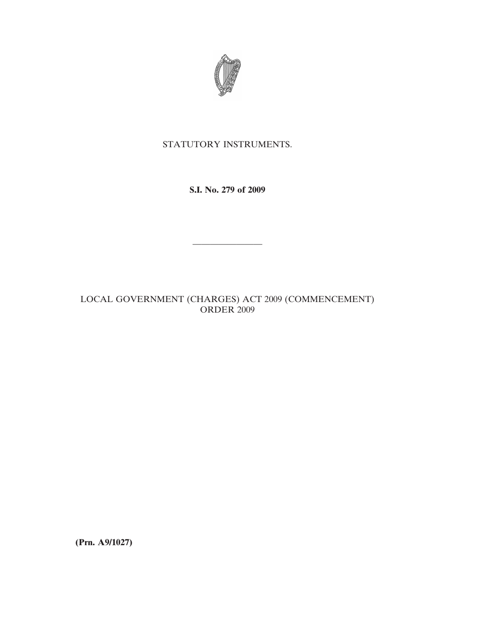

## STATUTORY INSTRUMENTS.

**S.I. No. 279 of 2009**

————————

LOCAL GOVERNMENT (CHARGES) ACT 2009 (COMMENCEMENT) ORDER 2009

**(Prn. A9/1027)**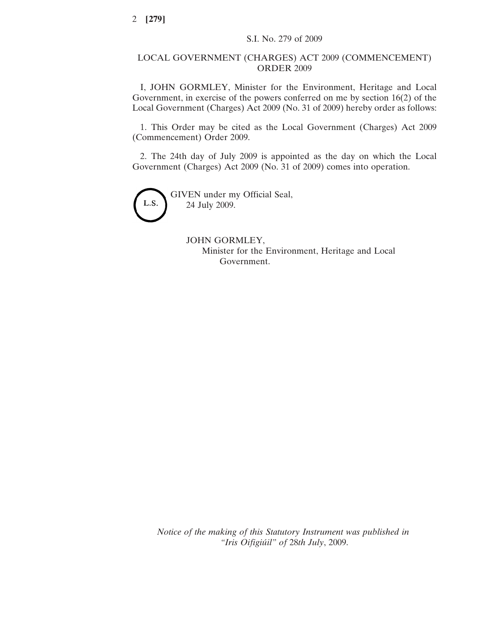## LOCAL GOVERNMENT (CHARGES) ACT 2009 (COMMENCEMENT) ORDER 2009

I, JOHN GORMLEY, Minister for the Environment, Heritage and Local Government, in exercise of the powers conferred on me by section 16(2) of the Local Government (Charges) Act 2009 (No. 31 of 2009) hereby order as follows:

1. This Order may be cited as the Local Government (Charges) Act 2009 (Commencement) Order 2009.

2. The 24th day of July 2009 is appointed as the day on which the Local Government (Charges) Act 2009 (No. 31 of 2009) comes into operation.



GIVEN under my Official Seal, 24 July 2009.

> JOHN GORMLEY, Minister for the Environment, Heritage and Local Government.

*Notice of the making of this Statutory Instrument was published in "Iris Oifigiu´il" of* 28*th July*, 2009.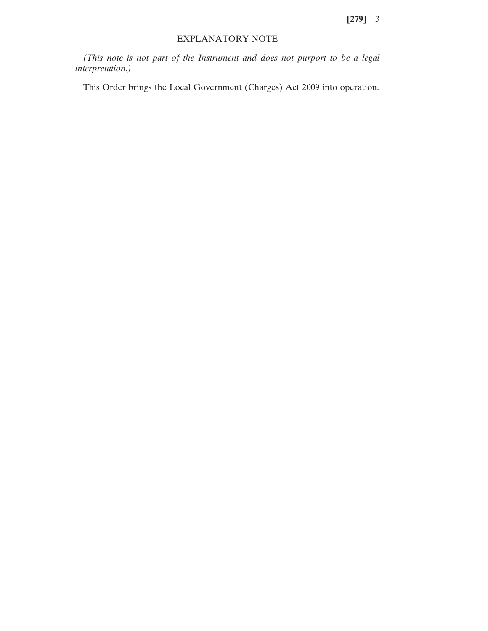**[279]** 3

## EXPLANATORY NOTE

*(This note is not part of the Instrument and does not purport to be a legal interpretation.)*

This Order brings the Local Government (Charges) Act 2009 into operation.